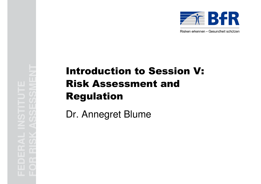

Risiken erkennen – Gesundheit schützen

# **For Risk Assessment and<br><b>FOR Risk Assessment and<br>Regulation**<br>Dr. Annegret Blume<br>Dr. Annegret Blume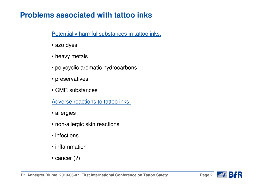# **Problems associated with tattoo inks**

Potentially harmful substances in tattoo inks:

- azo dyes
- heavy metals
- polycyclic aromatic hydrocarbons
- preservatives
- CMR substances

Adverse reactions to tattoo inks:

- allergies
- non-allergic skin reactions
- infections
- inflammation
- cancer (?)

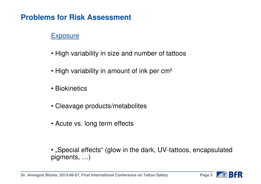## **Problems for Risk Assessment**

### **Exposure**

- High variability in size and number of tattoos
- $\bullet$  High variability in amount of ink per cm $^2$
- Biokinetics
- Cleavage products/metabolites
- Acute vs. long term effects
- $\bullet$  "Special effects" (glow in the dark, UV-tattoos, encapsulated pigments, …)

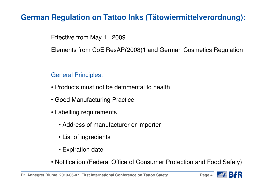## **German Regulation on Tattoo Inks (Tätowiermittelverordnung):**

Effective from May 1, 2009

Elements from CoE ResAP(2008)1 and German Cosmetics Regulation

General Principles:

- Products must not be detrimental to health
- Good Manufacturing Practice
- Labelling requirements
	- Address of manufacturer or importer
	- List of ingredients
	- Expiration date
- Notification (Federal Office of Consumer Protection and Food Safety)

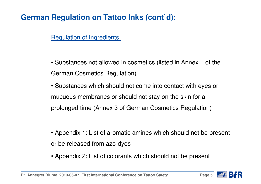# **German Regulation on Tattoo Inks (cont d):**

**Regulation of Ingredients:** 

• Substances not allowed in cosmetics (listed in Annex 1 of theGerman Cosmetics Regulation)

• Substances which should not come into contact with eyes <sup>o</sup>rmucuous membranes or should not stay on the skin for a prolonged time (Annex 3 of German Cosmetics Regulation)

• Appendix 1: List of aromatic amines which should not be present or be released from azo-dyes

• Appendix 2: List of colorants which should not be present